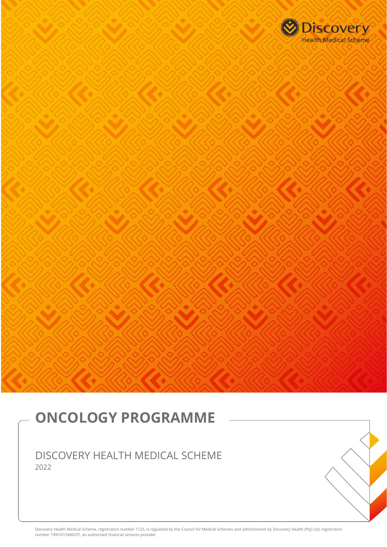

# **ONCOLOGY PROGRAMME**

DISCOVERY HEALTH MEDICAL SCHEME 2022

Discovery Health Medical Scheme, registration number 1125, is regulated by the Council for Medical Schemes and administered by Discovery Health (Pty) Ltd, registration number 1997/013480/07, an authorised financial services provider.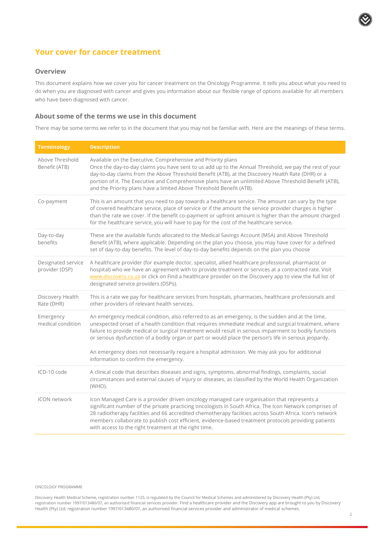# **Your cover for cancer treatment**

#### **Overview**

This document explains how we cover you for cancer treatment on the Oncology Programme. It tells you about what you need to do when you are diagnosed with cancer and gives you information about our flexible range of options available for all members who have been diagnosed with cancer.

#### **About some of the terms we use in this document**

There may be some terms we refer to in the document that you may not be familiar with. Here are the meanings of these terms.

| <b>Terminology</b>                   | <b>Description</b>                                                                                                                                                                                                                                                                                                                                                                                                                                                                                                                                                      |
|--------------------------------------|-------------------------------------------------------------------------------------------------------------------------------------------------------------------------------------------------------------------------------------------------------------------------------------------------------------------------------------------------------------------------------------------------------------------------------------------------------------------------------------------------------------------------------------------------------------------------|
| Above Threshold<br>Benefit (ATB)     | Available on the Executive, Comprehensive and Priority plans<br>Once the day-to-day claims you have sent to us add up to the Annual Threshold, we pay the rest of your<br>day-to-day claims from the Above Threshold Benefit (ATB), at the Discovery Health Rate (DHR) or a<br>portion of it. The Executive and Comprehensive plans have an unlimited Above Threshold Benefit (ATB),<br>and the Priority plans have a limited Above Threshold Benefit (ATB).                                                                                                            |
| Co-payment                           | This is an amount that you need to pay towards a healthcare service. The amount can vary by the type<br>of covered healthcare service, place of service or if the amount the service provider charges is higher<br>than the rate we cover. If the benefit co-payment or upfront amount is higher than the amount charged<br>for the healthcare service, you will have to pay for the cost of the healthcare service.                                                                                                                                                    |
| Day-to-day<br>benefits               | These are the available funds allocated to the Medical Savings Account (MSA) and Above Threshold<br>Benefit (ATB), where applicable. Depending on the plan you choose, you may have cover for a defined<br>set of day-to-day benefits. The level of day-to-day benefits depends on the plan you choose                                                                                                                                                                                                                                                                  |
| Designated service<br>provider (DSP) | A healthcare provider (for example doctor, specialist, allied healthcare professional, pharmacist or<br>hospital) who we have an agreement with to provide treatment or services at a contracted rate. Visit<br>www.discovery.co.za or click on Find a healthcare provider on the Discovery app to view the full list of<br>designated service providers (DSPs).                                                                                                                                                                                                        |
| Discovery Health<br>Rate (DHR)       | This is a rate we pay for healthcare services from hospitals, pharmacies, healthcare professionals and<br>other providers of relevant health services.                                                                                                                                                                                                                                                                                                                                                                                                                  |
| Emergency<br>medical condition       | An emergency medical condition, also referred to as an emergency, is the sudden and at the time,<br>unexpected onset of a health condition that requires immediate medical and surgical treatment, where<br>failure to provide medical or surgical treatment would result in serious impairment to bodily functions<br>or serious dysfunction of a bodily organ or part or would place the person's life in serious jeopardy.<br>An emergency does not necessarily require a hospital admission. We may ask you for additional<br>information to confirm the emergency. |
| ICD-10 code                          | A clinical code that describes diseases and signs, symptoms, abnormal findings, complaints, social<br>circumstances and external causes of injury or diseases, as classified by the World Health Organization<br>(WHO).                                                                                                                                                                                                                                                                                                                                                 |
| <b>ICON</b> network                  | Icon Managed Care is a provider driven oncology managed care organisation that represents a<br>significant number of the private practicing oncologists in South Africa. The Icon Network comprises of<br>28 radiotherapy facilities and 66 accredited chemotherapy facilities across South Africa. Icon's network<br>members collaborate to publish cost efficient, evidence-based treatment protocols providing patients<br>with access to the right treatment at the right time.                                                                                     |

#### ONCOLOGY PROGRAMME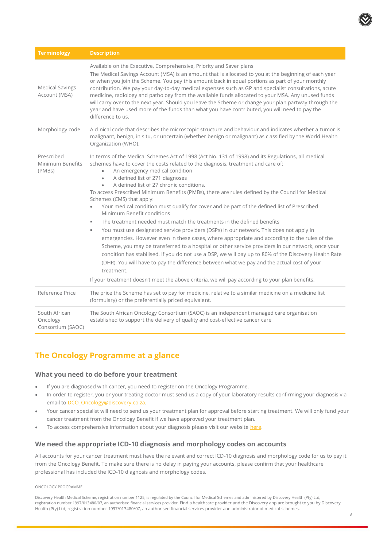

| <b>Terminology</b>                             | <b>Description</b>                                                                                                                                                                                                                                                                                                                                                                                                                                                                                                                                                                                                                                                                                                                                                                                                                                                                                                                                                                                                                                                                                                                                                                                                                                                                                           |
|------------------------------------------------|--------------------------------------------------------------------------------------------------------------------------------------------------------------------------------------------------------------------------------------------------------------------------------------------------------------------------------------------------------------------------------------------------------------------------------------------------------------------------------------------------------------------------------------------------------------------------------------------------------------------------------------------------------------------------------------------------------------------------------------------------------------------------------------------------------------------------------------------------------------------------------------------------------------------------------------------------------------------------------------------------------------------------------------------------------------------------------------------------------------------------------------------------------------------------------------------------------------------------------------------------------------------------------------------------------------|
| <b>Medical Savings</b><br>Account (MSA)        | Available on the Executive, Comprehensive, Priority and Saver plans<br>The Medical Savings Account (MSA) is an amount that is allocated to you at the beginning of each year<br>or when you join the Scheme. You pay this amount back in equal portions as part of your monthly<br>contribution. We pay your day-to-day medical expenses such as GP and specialist consultations, acute<br>medicine, radiology and pathology from the available funds allocated to your MSA. Any unused funds<br>will carry over to the next year. Should you leave the Scheme or change your plan partway through the<br>year and have used more of the funds than what you have contributed, you will need to pay the<br>difference to us.                                                                                                                                                                                                                                                                                                                                                                                                                                                                                                                                                                                 |
| Morphology code                                | A clinical code that describes the microscopic structure and behaviour and indicates whether a tumor is<br>malignant, benign, in situ, or uncertain (whether benign or malignant) as classified by the World Health<br>Organization (WHO).                                                                                                                                                                                                                                                                                                                                                                                                                                                                                                                                                                                                                                                                                                                                                                                                                                                                                                                                                                                                                                                                   |
| Prescribed<br>Minimum Benefits<br>(PMBs)       | In terms of the Medical Schemes Act of 1998 (Act No. 131 of 1998) and its Regulations, all medical<br>schemes have to cover the costs related to the diagnosis, treatment and care of:<br>An emergency medical condition<br>A defined list of 271 diagnoses<br>$\bullet$<br>A defined list of 27 chronic conditions.<br>$\bullet$<br>To access Prescribed Minimum Benefits (PMBs), there are rules defined by the Council for Medical<br>Schemes (CMS) that apply:<br>Your medical condition must qualify for cover and be part of the defined list of Prescribed<br>Minimum Benefit conditions<br>The treatment needed must match the treatments in the defined benefits<br>٠<br>You must use designated service providers (DSPs) in our network. This does not apply in<br>٠<br>emergencies. However even in these cases, where appropriate and according to the rules of the<br>Scheme, you may be transferred to a hospital or other service providers in our network, once your<br>condition has stabilised. If you do not use a DSP, we will pay up to 80% of the Discovery Health Rate<br>(DHR). You will have to pay the difference between what we pay and the actual cost of your<br>treatment.<br>If your treatment doesn't meet the above criteria, we will pay according to your plan benefits. |
| Reference Price                                | The price the Scheme has set to pay for medicine, relative to a similar medicine on a medicine list<br>(formulary) or the preferentially priced equivalent.                                                                                                                                                                                                                                                                                                                                                                                                                                                                                                                                                                                                                                                                                                                                                                                                                                                                                                                                                                                                                                                                                                                                                  |
| South African<br>Oncology<br>Consortium (SAOC) | The South African Oncology Consortium (SAOC) is an independent managed care organisation<br>established to support the delivery of quality and cost-effective cancer care                                                                                                                                                                                                                                                                                                                                                                                                                                                                                                                                                                                                                                                                                                                                                                                                                                                                                                                                                                                                                                                                                                                                    |

# **The Oncology Programme at a glance**

## **What you need to do before your treatment**

- If you are diagnosed with cancer, you need to register on the Oncology Programme.
- In order to register, you or your treating doctor must send us a copy of your laboratory results confirming your diagnosis via email to [DCO\\_Oncology@discovery.co.za.](mailto:DCO_Oncology@discovery.co.za)
- Your cancer specialist will need to send us your treatment plan for approval before starting treatment. We will only fund your cancer treatment from the Oncology Benefit if we have approved your treatment plan.
- To access comprehensive information about your diagnosis please visit our website [here.](https://www.discovery.co.za/corporate/understand-cancer)

## **We need the appropriate ICD-10 diagnosis and morphology codes on accounts**

All accounts for your cancer treatment must have the relevant and correct ICD-10 diagnosis and morphology code for us to pay it from the Oncology Benefit. To make sure there is no delay in paying your accounts, please confirm that your healthcare professional has included the ICD-10 diagnosis and morphology codes.

#### ONCOLOGY PROGRAMME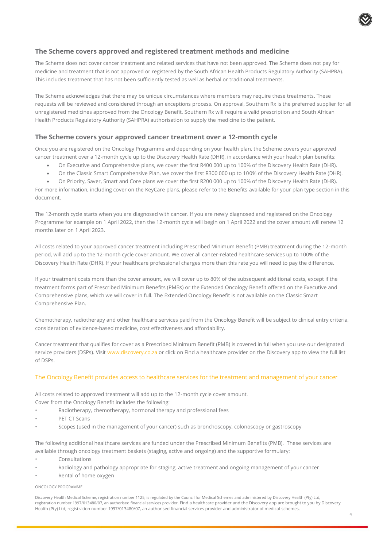### **The Scheme covers approved and registered treatment methods and medicine**

The Scheme does not cover cancer treatment and related services that have not been approved. The Scheme does not pay for medicine and treatment that is not approved or registered by the South African Health Products Regulatory Authority (SAHPRA). This includes treatment that has not been sufficiently tested as well as herbal or traditional treatments.

The Scheme acknowledges that there may be unique circumstances where members may require these treatments. These requests will be reviewed and considered through an exceptions process. On approval, Southern Rx is the preferred supplier for all unregistered medicines approved from the Oncology Benefit. Southern Rx will require a valid prescription and South African Health Products Regulatory Authority (SAHPRA) authorisation to supply the medicine to the patient.

### **The Scheme covers your approved cancer treatment over a 12-month cycle**

Once you are registered on the Oncology Programme and depending on your health plan, the Scheme covers your approved cancer treatment over a 12-month cycle up to the Discovery Health Rate (DHR), in accordance with your health plan benefits:

- On Executive and Comprehensive plans, we cover the first R400 000 up to 100% of the Discovery Health Rate (DHR).
- On the Classic Smart Comprehensive Plan, we cover the first R300 000 up to 100% of the Discovery Health Rate (DHR).
- On Priority, Saver, Smart and Core plans we cover the first R200 000 up to 100% of the Discovery Health Rate (DHR).

For more information, including cover on the KeyCare plans, please refer to the Benefits available for your plan type section in this document.

The 12-month cycle starts when you are diagnosed with cancer. If you are newly diagnosed and registered on the Oncology Programme for example on 1 April 2022, then the 12-month cycle will begin on 1 April 2022 and the cover amount will renew 12 months later on 1 April 2023.

All costs related to your approved cancer treatment including Prescribed Minimum Benefit (PMB) treatment during the 12-month period, will add up to the 12-month cycle cover amount. We cover all cancer-related healthcare services up to 100% of the Discovery Health Rate (DHR). If your healthcare professional charges more than this rate you will need to pay the difference.

If your treatment costs more than the cover amount, we will cover up to 80% of the subsequent additional costs, except if the treatment forms part of Prescribed Minimum Benefits (PMBs) or the Extended Oncology Benefit offered on the Executive and Comprehensive plans, which we will cover in full. The Extended Oncology Benefit is not available on the Classic Smart Comprehensive Plan.

Chemotherapy, radiotherapy and other healthcare services paid from the Oncology Benefit will be subject to clinical entry criteria, consideration of evidence-based medicine, cost effectiveness and affordability.

Cancer treatment that qualifies for cover as a Prescribed Minimum Benefit (PMB) is covered in full when you use our designated service providers (DSPs). Visit [www.discovery.co.za](http://www.discovery.co.za/) or click on Find a healthcare provider on the Discovery app to view the full list of DSPs.

#### The Oncology Benefit provides access to healthcare services for the treatment and management of your cancer

All costs related to approved treatment will add up to the 12-month cycle cover amount. Cover from the Oncology Benefit includes the following:

- Radiotherapy, chemotherapy, hormonal therapy and professional fees
- PET CT Scans
- Scopes (used in the management of your cancer) such as bronchoscopy, colonoscopy or gastroscopy

The following additional healthcare services are funded under the Prescribed Minimum Benefits (PMB). These services are available through oncology treatment baskets (staging, active and ongoing) and the supportive formulary:

- **Consultations**
- Radiology and pathology appropriate for staging, active treatment and ongoing management of your cancer
- Rental of home oxygen

#### ONCOLOGY PROGRAMME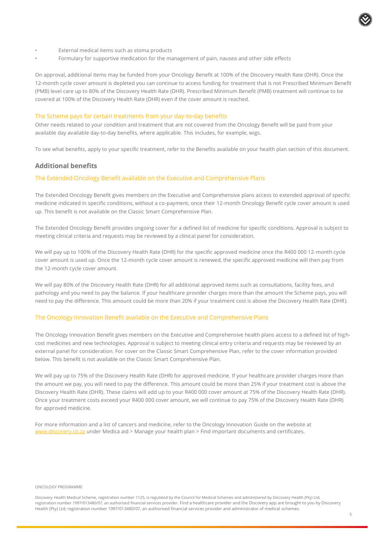

- External medical items such as stoma products
- Formulary for supportive medication for the management of pain, nausea and other side effects

On approval, additional items may be funded from your Oncology Benefit at 100% of the Discovery Health Rate (DHR). Once the 12-month cycle cover amount is depleted you can continue to access funding for treatment that is not Prescribed Minimum Benefit (PMB) level care up to 80% of the Discovery Health Rate (DHR). Prescribed Minimum Benefit (PMB) treatment will continue to be covered at 100% of the Discovery Health Rate (DHR) even if the cover amount is reached.

#### The Scheme pays for certain treatments from your day-to-day benefits

Other needs related to your condition and treatment that are not covered from the Oncology Benefit will be paid from your available day available day-to-day benefits, where applicable. This includes, for example, wigs.

To see what benefits, apply to your specific treatment, refer to the Benefits available on your health plan section of this document.

#### **Additional benefits**

#### The Extended Oncology Benefit available on the Executive and Comprehensive Plans

The Extended Oncology Benefit gives members on the Executive and Comprehensive plans access to extended approval of specific medicine indicated in specific conditions, without a co-payment, once their 12-month Oncology Benefit cycle cover amount is used up. This benefit is not available on the Classic Smart Comprehensive Plan.

The Extended Oncology Benefit provides ongoing cover for a defined list of medicine for specific conditions. Approval is subject to meeting clinical criteria and requests may be reviewed by a clinical panel for consideration.

We will pay up to 100% of the Discovery Health Rate (DHR) for the specific approved medicine once the R400 000 12-month cycle cover amount is used up. Once the 12-month cycle cover amount is renewed, the specific approved medicine will then pay from the 12-month cycle cover amount.

We will pay 80% of the Discovery Health Rate (DHR) for all additional approved items such as consultations, facility fees, and pathology and you need to pay the balance. If your healthcare provider charges more than the amount the Scheme pays, you will need to pay the difference. This amount could be more than 20% if your treatment cost is above the Discovery Health Rate (DHR).

#### The Oncology Innovation Benefit available on the Executive and Comprehensive Plans

The Oncology Innovation Benefit gives members on the Executive and Comprehensive health plans access to a defined list of highcost medicines and new technologies. Approval is subject to meeting clinical entry criteria and requests may be reviewed by an external panel for consideration. For cover on the Classic Smart Comprehensive Plan, refer to the cover information provided below. This benefit is not available on the Classic Smart Comprehensive Plan.

We will pay up to 75% of the Discovery Health Rate (DHR) for approved medicine. If your healthcare provider charges more than the amount we pay, you will need to pay the difference. This amount could be more than 25% if your treatment cost is above the Discovery Health Rate (DHR). These claims will add up to your R400 000 cover amount at 75% of the Discovery Health Rate (DHR). Once your treatment costs exceed your R400 000 cover amount, we will continue to pay 75% of the Discovery Health Rate (DHR) for approved medicine.

For more information and a list of cancers and medicine, refer to the Oncology Innovation Guide on the website at [www.discovery.co.za](http://www.discovery.co.za/) under Medica aid > Manage your health plan > Find important documents and certificates.

#### ONCOLOGY PROGRAMME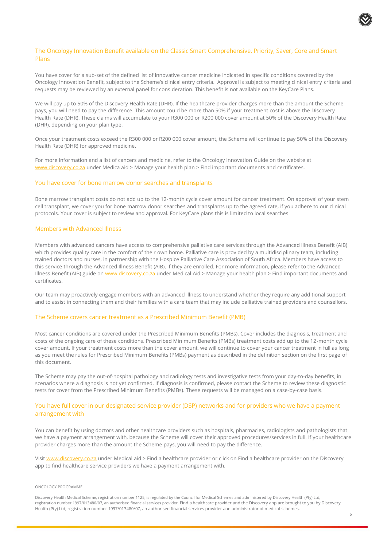#### The Oncology Innovation Benefit available on the Classic Smart Comprehensive, Priority, Saver, Core and Smart Plans

You have cover for a sub-set of the defined list of innovative cancer medicine indicated in specific conditions covered by the Oncology Innovation Benefit, subject to the Scheme's clinical entry criteria. Approval is subject to meeting clinical entry criteria and requests may be reviewed by an external panel for consideration. This benefit is not available on the KeyCare Plans.

We will pay up to 50% of the Discovery Health Rate (DHR). If the healthcare provider charges more than the amount the Scheme pays, you will need to pay the difference. This amount could be more than 50% if your treatment cost is above the Discovery Health Rate (DHR). These claims will accumulate to your R300 000 or R200 000 cover amount at 50% of the Discovery Health Rate (DHR), depending on your plan type.

Once your treatment costs exceed the R300 000 or R200 000 cover amount, the Scheme will continue to pay 50% of the Discovery Health Rate (DHR) for approved medicine.

For more information and a list of cancers and medicine, refer to the Oncology Innovation Guide on the website at [www.discovery.co.za](http://www.discovery.co.za/) under Medica aid > Manage your health plan > Find important documents and certificates.

#### You have cover for bone marrow donor searches and transplants

Bone marrow transplant costs do not add up to the 12-month cycle cover amount for cancer treatment. On approval of your stem cell transplant, we cover you for bone marrow donor searches and transplants up to the agreed rate, if you adhere to our clinical protocols. Your cover is subject to review and approval. For KeyCare plans this is limited to local searches.

#### Members with Advanced Illness

Members with advanced cancers have access to comprehensive palliative care services through the Advanced Illness Benefit (AIB) which provides quality care in the comfort of their own home. Palliative care is provided by a multidisciplinary team, including trained doctors and nurses, in partnership with the Hospice Palliative Care Association of South Africa. Members have access to this service through the Advanced Illness Benefit (AIB), if they are enrolled. For more information, please refer to the Advanced Illness Benefit (AIB) guide on [www.discovery.co.za](http://www.discovery.co.za/) under Medical Aid > Manage your health plan > Find important documents and certificates.

Our team may proactively engage members with an advanced illness to understand whether they require any additional support and to assist in connecting them and their families with a care team that may include palliative trained providers and counsellors.

#### The Scheme covers cancer treatment as a Prescribed Minimum Benefit (PMB)

Most cancer conditions are covered under the Prescribed Minimum Benefits (PMBs). Cover includes the diagnosis, treatment and costs of the ongoing care of these conditions. Prescribed Minimum Benefits (PMBs) treatment costs add up to the 12-month cycle cover amount. If your treatment costs more than the cover amount, we will continue to cover your cancer treatment in full as long as you meet the rules for Prescribed Minimum Benefits (PMBs) payment as described in the definition section on the first page of this document.

The Scheme may pay the out-of-hospital pathology and radiology tests and investigative tests from your day-to-day benefits, in scenarios where a diagnosis is not yet confirmed. If diagnosis is confirmed, please contact the Scheme to review these diagnostic tests for cover from the Prescribed Minimum Benefits (PMBs). These requests will be managed on a case-by-case basis.

#### You have full cover in our designated service provider (DSP) networks and for providers who we have a payment arrangement with

You can benefit by using doctors and other healthcare providers such as hospitals, pharmacies, radiologists and pathologists that we have a payment arrangement with, because the Scheme will cover their approved procedures/services in full. If your healthcare provider charges more than the amount the Scheme pays, you will need to pay the difference.

Visi[t www.discovery.co.za](http://www.discovery.co.za/) under Medical aid > Find a healthcare provider or click on Find a healthcare provider on the Discovery app to find healthcare service providers we have a payment arrangement with.

#### ONCOLOGY PROGRAMME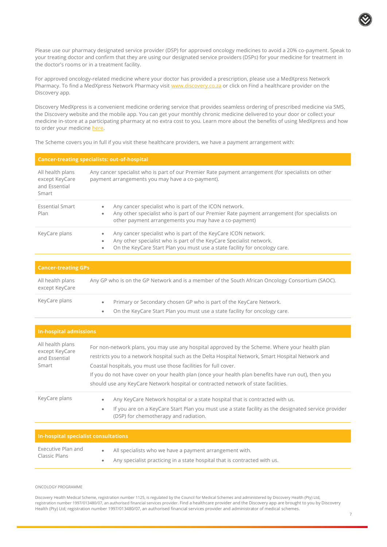Please use our pharmacy designated service provider (DSP) for approved oncology medicines to avoid a 20% co-payment. Speak to your treating doctor and confirm that they are using our designated service providers (DSPs) for your medicine for treatment in the doctor's rooms or in a treatment facility.

For approved oncology-related medicine where your doctor has provided a prescription, please use a MedXpress Network Pharmacy. To find a MedXpress Network Pharmacy visi[t www.discovery.co.za](http://www.discovery.co.za/) or click on Find a healthcare provider on the Discovery app.

Discovery MedXpress is a convenient medicine ordering service that provides seamless ordering of prescribed medicine via SMS, the Discovery website and the mobile app. You can get your monthly chronic medicine delivered to your door or collect your medicine in-store at a participating pharmacy at no extra cost to you. Learn more about the benefits of using MedXpress and how to order your medicine [here.](https://www.discovery.co.za/wcm/discoverycoza/assets/medical-aid/benefit-information/2022/dh-medxpress-one-pager-2022.pdf)

The Scheme covers you in full if you visit these healthcare providers, we have a payment arrangement with:

#### **Cancer-treating specialists: out-of-hospital**

| All health plans<br>except KeyCare<br>and Essential<br>Smart | Any cancer specialist who is part of our Premier Rate payment arrangement (for specialists on other<br>payment arrangements you may have a co-payment).                                                                          |
|--------------------------------------------------------------|----------------------------------------------------------------------------------------------------------------------------------------------------------------------------------------------------------------------------------|
| <b>Essential Smart</b><br>Plan                               | Any cancer specialist who is part of the ICON network.<br>Any other specialist who is part of our Premier Rate payment arrangement (for specialists on<br>$\bullet$<br>other payment arrangements you may have a co-payment)     |
| KeyCare plans                                                | Any cancer specialist who is part of the KeyCare ICON network.<br>Any other specialist who is part of the KeyCare Specialist network.<br>On the KeyCare Start Plan you must use a state facility for oncology care.<br>$\bullet$ |
|                                                              |                                                                                                                                                                                                                                  |

| <b>Cancer-treating GPs</b>         |                                                                                                                                                  |
|------------------------------------|--------------------------------------------------------------------------------------------------------------------------------------------------|
| All health plans<br>except KeyCare | Any GP who is on the GP Network and is a member of the South African Oncology Consortium (SAOC).                                                 |
| KeyCare plans                      | Primary or Secondary chosen GP who is part of the KeyCare Network.<br>On the KeyCare Start Plan you must use a state facility for oncology care. |

| <b>In-hospital admissions</b>                                |                                                                                                                                                                                                                                                                                                                                                                                                                                                                        |
|--------------------------------------------------------------|------------------------------------------------------------------------------------------------------------------------------------------------------------------------------------------------------------------------------------------------------------------------------------------------------------------------------------------------------------------------------------------------------------------------------------------------------------------------|
| All health plans<br>except KeyCare<br>and Essential<br>Smart | For non-network plans, you may use any hospital approved by the Scheme. Where your health plan<br>restricts you to a network hospital such as the Delta Hospital Network, Smart Hospital Network and<br>Coastal hospitals, you must use those facilities for full cover.<br>If you do not have cover on your health plan (once your health plan benefits have run out), then you<br>should use any KeyCare Network hospital or contracted network of state facilities. |
| KeyCare plans                                                | Any KeyCare Network hospital or a state hospital that is contracted with us.<br>If you are on a KeyCare Start Plan you must use a state facility as the designated service provider<br>$\bullet$<br>(DSP) for chemotherapy and radiation.                                                                                                                                                                                                                              |

| In-hospital specialist consultations |                                                                           |
|--------------------------------------|---------------------------------------------------------------------------|
| Executive Plan and                   | All specialists who we have a payment arrangement with.                   |
| Classic Plans                        | Any specialist practicing in a state hospital that is contracted with us. |

#### ONCOLOGY PROGRAMME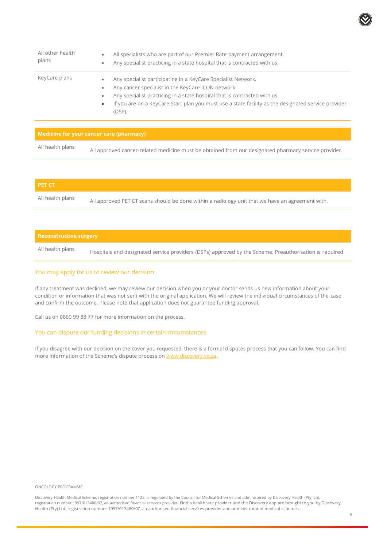| All other health<br>plans | All specialists who are part of our Premier Rate payment arrangement.<br>$\bullet$<br>Any specialist practicing in a state hospital that is contracted with us.<br>$\bullet$                                                                                                                                                                                          |
|---------------------------|-----------------------------------------------------------------------------------------------------------------------------------------------------------------------------------------------------------------------------------------------------------------------------------------------------------------------------------------------------------------------|
| KeyCare plans             | Any specialist participating in a KeyCare Specialist Network.<br>$\bullet$<br>Any cancer specialist in the KeyCare ICON network.<br>$\bullet$<br>Any specialist practicing in a state hospital that is contracted with us.<br>$\bullet$<br>If you are on a KeyCare Start plan you must use a state facility as the designated service provider<br>$\bullet$<br>(DSP). |

| Medicine for your cancer care (pharmacy) |                                                                                                      |
|------------------------------------------|------------------------------------------------------------------------------------------------------|
| All health plans                         | All approved cancer-related medicine must be obtained from our designated pharmacy service provider. |

| <b>PET CT</b>    |                                                                                                  |
|------------------|--------------------------------------------------------------------------------------------------|
| All health plans | All approved PET CT scans should be done within a radiology unit that we have an agreement with. |

# **Reconstructive surgery** All health plans Hospitals and designated service providers (DSPs) approved by the Scheme. Preauthorisation is required.

#### You may apply for us to review our decision

If any treatment was declined, we may review our decision when you or your doctor sends us new information about your condition or information that was not sent with the original application. We will review the individual circumstances of the case and confirm the outcome. Please note that application does not guarantee funding approval.

Call us on 0860 99 88 77 for more information on the process.

#### You can dispute our funding decisions in certain circumstances

If you disagree with our decision on the cover you requested, there is a formal disputes process that you can follow. You can find more information of the Scheme's dispute process on [www.discovery.co.za.](http://www.discovery.co.za/)

ONCOLOGY PROGRAMME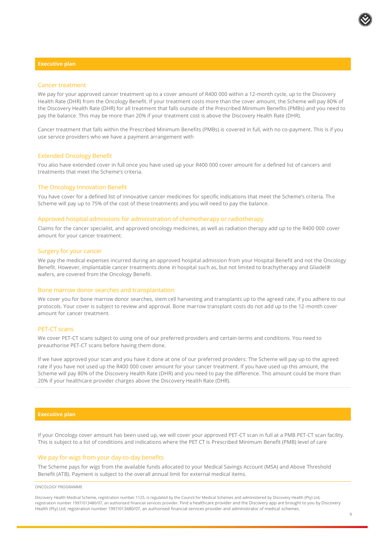#### **Executive plan**

#### Cancer treatment

We pay for your approved cancer treatment up to a cover amount of R400 000 within a 12-month cycle, up to the Discovery Health Rate (DHR) from the Oncology Benefit. If your treatment costs more than the cover amount, the Scheme will pay 80% of the Discovery Health Rate (DHR) for all treatment that falls outside of the Prescribed Minimum Benefits (PMBs) and you need to pay the balance. This may be more than 20% if your treatment cost is above the Discovery Health Rate (DHR).

Cancer treatment that falls within the Prescribed Minimum Benefits (PMBs) is covered in full, with no co-payment. This is if you use service providers who we have a payment arrangement with

#### Extended Oncology Benefit

You also have extended cover in full once you have used up your R400 000 cover amount for a defined list of cancers and treatments that meet the Scheme's criteria.

#### The Oncology Innovation Benefit

You have cover for a defined list of innovative cancer medicines for specific indications that meet the Scheme's criteria. The Scheme will pay up to 75% of the cost of these treatments and you will need to pay the balance.

#### Approved hospital admissions for administration of chemotherapy or radiotherapy

Claims for the cancer specialist, and approved oncology medicines, as well as radiation therapy add up to the R400 000 cover amount for your cancer treatment.

#### Surgery for your cancer

We pay the medical expenses incurred during an approved hospital admission from your Hospital Benefit and not the Oncology Benefit. However, implantable cancer treatments done in hospital such as, but not limited to brachytherapy and Gliadel® wafers, are covered from the Oncology Benefit.

#### Bone marrow donor searches and transplantation

We cover you for bone marrow donor searches, stem cell harvesting and transplants up to the agreed rate, if you adhere to our protocols. Your cover is subject to review and approval. Bone marrow transplant costs do not add up to the 12-month cover amount for cancer treatment.

#### PET-CT scans

We cover PET-CT scans subject to using one of our preferred providers and certain terms and conditions. You need to preauthorise PET-CT scans before having them done.

If we have approved your scan and you have it done at one of our preferred providers: The Scheme will pay up to the agreed rate if you have not used up the R400 000 cover amount for your cancer treatment. If you have used up this amount, the Scheme will pay 80% of the Discovery Health Rate (DHR) and you need to pay the difference. This amount could be more than 20% if your healthcare provider charges above the Discovery Health Rate (DHR).

#### **Executive plan**

If your Oncology cover amount has been used up, we will cover your approved PET-CT scan in full at a PMB PET-CT scan facility. This is subject to a list of conditions and indications where the PET CT is Prescribed Minimum Benefit (PMB) level of care

#### We pay for wigs from your day-to-day benefits

The Scheme pays for wigs from the available funds allocated to your Medical Savings Account (MSA) and Above Threshold Benefit (ATB). Payment is subject to the overall annual limit for external medical items.

#### ONCOLOGY PROGRAMME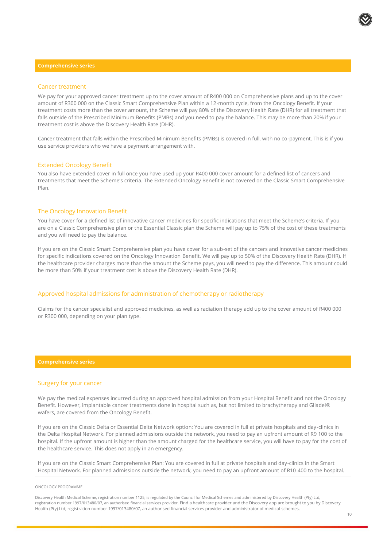#### **Comprehensive series**

#### Cancer treatment

We pay for your approved cancer treatment up to the cover amount of R400 000 on Comprehensive plans and up to the cover amount of R300 000 on the Classic Smart Comprehensive Plan within a 12-month cycle, from the Oncology Benefit. If your treatment costs more than the cover amount, the Scheme will pay 80% of the Discovery Health Rate (DHR) for all treatment that falls outside of the Prescribed Minimum Benefits (PMBs) and you need to pay the balance. This may be more than 20% if your treatment cost is above the Discovery Health Rate (DHR).

Cancer treatment that falls within the Prescribed Minimum Benefits (PMBs) is covered in full, with no co-payment. This is if you use service providers who we have a payment arrangement with.

#### Extended Oncology Benefit

You also have extended cover in full once you have used up your R400 000 cover amount for a defined list of cancers and treatments that meet the Scheme's criteria. The Extended Oncology Benefit is not covered on the Classic Smart Comprehensive Plan.

#### The Oncology Innovation Benefit

You have cover for a defined list of innovative cancer medicines for specific indications that meet the Scheme's criteria. If you are on a Classic Comprehensive plan or the Essential Classic plan the Scheme will pay up to 75% of the cost of these treatments and you will need to pay the balance.

If you are on the Classic Smart Comprehensive plan you have cover for a sub-set of the cancers and innovative cancer medicines for specific indications covered on the Oncology Innovation Benefit. We will pay up to 50% of the Discovery Health Rate (DHR). If the healthcare provider charges more than the amount the Scheme pays, you will need to pay the difference. This amount could be more than 50% if your treatment cost is above the Discovery Health Rate (DHR).

#### Approved hospital admissions for administration of chemotherapy or radiotherapy

Claims for the cancer specialist and approved medicines, as well as radiation therapy add up to the cover amount of R400 000 or R300 000, depending on your plan type.

#### **Comprehensive series**

#### Surgery for your cancer

We pay the medical expenses incurred during an approved hospital admission from your Hospital Benefit and not the Oncology Benefit. However, implantable cancer treatments done in hospital such as, but not limited to brachytherapy and Gliadel® wafers, are covered from the Oncology Benefit.

If you are on the Classic Delta or Essential Delta Network option: You are covered in full at private hospitals and day-clinics in the Delta Hospital Network. For planned admissions outside the network, you need to pay an upfront amount of R9 100 to the hospital. If the upfront amount is higher than the amount charged for the healthcare service, you will have to pay for the cost of the healthcare service. This does not apply in an emergency.

If you are on the Classic Smart Comprehensive Plan: You are covered in full at private hospitals and day-clinics in the Smart Hospital Network. For planned admissions outside the network, you need to pay an upfront amount of R10 400 to the hospital.

#### ONCOLOGY PROGRAMME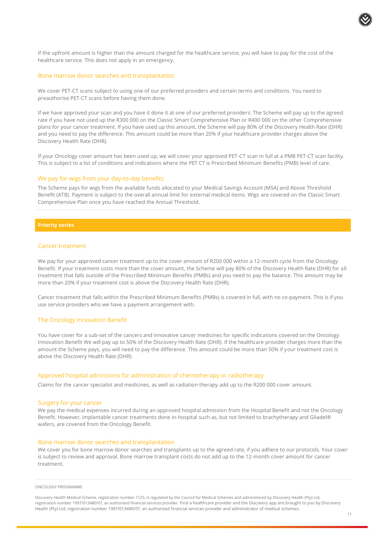If the upfront amount is higher than the amount charged for the healthcare service, you will have to pay for the cost of the healthcare service. This does not apply in an emergency.

#### Bone marrow donor searches and transplantation

We cover PET-CT scans subject to using one of our preferred providers and certain terms and conditions. You need to preauthorise PET-CT scans before having them done.

If we have approved your scan and you have it done it at one of our preferred providers: The Scheme will pay up to the agreed rate if you have not used up the R300 000 on the Classic Smart Comprehensive Plan or R400 000 on the other Comprehensive plans for your cancer treatment. If you have used up this amount, the Scheme will pay 80% of the Discovery Health Rate (DHR) and you need to pay the difference. This amount could be more than 20% if your healthcare provider charges above the Discovery Health Rate (DHR).

If your Oncology cover amount has been used up, we will cover your approved PET-CT scan in full at a PMB PET-CT scan facility. This is subject to a list of conditions and indications where the PET CT is Prescribed Minimum Benefits (PMB) level of care.

#### We pay for wigs from your day-to-day benefits

The Scheme pays for wigs from the available funds allocated to your Medical Savings Account (MSA) and Above Threshold Benefit (ATB). Payment is subject to the overall annual limit for external medical items. Wigs are covered on the Classic Smart Comprehensive Plan once you have reached the Annual Threshold.

#### **Priority series**

#### Cancer treatment

We pay for your approved cancer treatment up to the cover amount of R200 000 within a 12-month cycle from the Oncology Benefit. If your treatment costs more than the cover amount, the Scheme will pay 80% of the Discovery Health Rate (DHR) for all treatment that falls outside of the Prescribed Minimum Benefits (PMBs) and you need to pay the balance. This amount may be more than 20% if your treatment cost is above the Discovery Health Rate (DHR).

Cancer treatment that falls within the Prescribed Minimum Benefits (PMBs) is covered in full, with no co-payment. This is if you use service providers who we have a payment arrangement with.

#### The Oncology Innovation Benefit

You have cover for a sub-set of the cancers and innovative cancer medicines for specific indications covered on the Oncology Innovation Benefit We will pay up to 50% of the Discovery Health Rate (DHR). If the healthcare provider charges more than the amount the Scheme pays, you will need to pay the difference. This amount could be more than 50% if your treatment cost is above the Discovery Health Rate (DHR).

#### Approved hospital admissions for administration of chemotherapy or radiotherapy

Claims for the cancer specialist and medicines, as well as radiation therapy add up to the R200 000 cover amount.

#### Surgery for your cancer

We pay the medical expenses incurred during an approved hospital admission from the Hospital Benefit and not the Oncology Benefit. However, implantable cancer treatments done in-hospital such as, but not limited to brachytherapy and Gliadel® wafers, are covered from the Oncology Benefit.

#### Bone marrow donor searches and transplantation

We cover you for bone marrow donor searches and transplants up to the agreed rate, if you adhere to our protocols. Your cover is subject to review and approval. Bone marrow transplant costs do not add up to the 12-month cover amount for cancer treatment.

#### ONCOLOGY PROGRAMME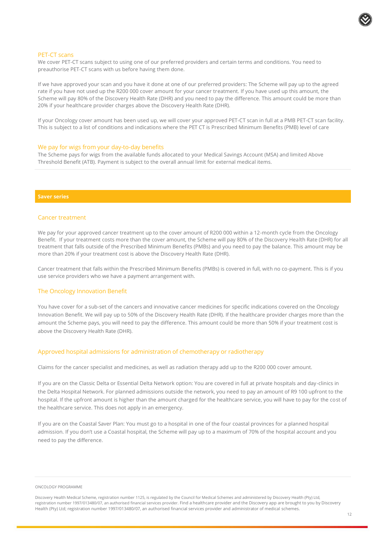#### PET-CT scans

We cover PET-CT scans subject to using one of our preferred providers and certain terms and conditions. You need to preauthorise PET-CT scans with us before having them done.

If we have approved your scan and you have it done at one of our preferred providers: The Scheme will pay up to the agreed rate if you have not used up the R200 000 cover amount for your cancer treatment. If you have used up this amount, the Scheme will pay 80% of the Discovery Health Rate (DHR) and you need to pay the difference. This amount could be more than 20% if your healthcare provider charges above the Discovery Health Rate (DHR).

If your Oncology cover amount has been used up, we will cover your approved PET-CT scan in full at a PMB PET-CT scan facility. This is subject to a list of conditions and indications where the PET CT is Prescribed Minimum Benefits (PMB) level of care

#### We pay for wigs from your day-to-day benefits

The Scheme pays for wigs from the available funds allocated to your Medical Savings Account (MSA) and limited Above Threshold Benefit (ATB). Payment is subject to the overall annual limit for external medical items.

#### **Saver series**

#### Cancer treatment

We pay for your approved cancer treatment up to the cover amount of R200 000 within a 12-month cycle from the Oncology Benefit. If your treatment costs more than the cover amount, the Scheme will pay 80% of the Discovery Health Rate (DHR) for all treatment that falls outside of the Prescribed Minimum Benefits (PMBs) and you need to pay the balance. This amount may be more than 20% if your treatment cost is above the Discovery Health Rate (DHR).

Cancer treatment that falls within the Prescribed Minimum Benefits (PMBs) is covered in full, with no co-payment. This is if you use service providers who we have a payment arrangement with.

#### The Oncology Innovation Benefit

You have cover for a sub-set of the cancers and innovative cancer medicines for specific indications covered on the Oncology Innovation Benefit. We will pay up to 50% of the Discovery Health Rate (DHR). If the healthcare provider charges more than the amount the Scheme pays, you will need to pay the difference. This amount could be more than 50% if your treatment cost is above the Discovery Health Rate (DHR).

#### Approved hospital admissions for administration of chemotherapy or radiotherapy

Claims for the cancer specialist and medicines, as well as radiation therapy add up to the R200 000 cover amount.

If you are on the Classic Delta or Essential Delta Network option: You are covered in full at private hospitals and day-clinics in the Delta Hospital Network. For planned admissions outside the network, you need to pay an amount of R9 100 upfront to the hospital. If the upfront amount is higher than the amount charged for the healthcare service, you will have to pay for the cost of the healthcare service. This does not apply in an emergency.

If you are on the Coastal Saver Plan: You must go to a hospital in one of the four coastal provinces for a planned hospital admission. If you don't use a Coastal hospital, the Scheme will pay up to a maximum of 70% of the hospital account and you need to pay the difference.

#### ONCOLOGY PROGRAMME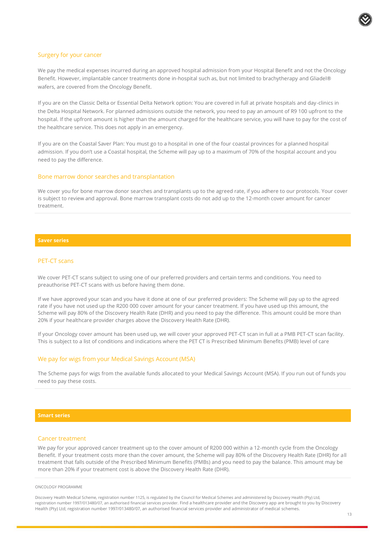

#### Surgery for your cancer

We pay the medical expenses incurred during an approved hospital admission from your Hospital Benefit and not the Oncology Benefit. However, implantable cancer treatments done in-hospital such as, but not limited to brachytherapy and Gliadel® wafers, are covered from the Oncology Benefit.

If you are on the Classic Delta or Essential Delta Network option: You are covered in full at private hospitals and day-clinics in the Delta Hospital Network. For planned admissions outside the network, you need to pay an amount of R9 100 upfront to the hospital. If the upfront amount is higher than the amount charged for the healthcare service, you will have to pay for the cost of the healthcare service. This does not apply in an emergency.

If you are on the Coastal Saver Plan: You must go to a hospital in one of the four coastal provinces for a planned hospital admission. If you don't use a Coastal hospital, the Scheme will pay up to a maximum of 70% of the hospital account and you need to pay the difference.

#### Bone marrow donor searches and transplantation

We cover you for bone marrow donor searches and transplants up to the agreed rate, if you adhere to our protocols. Your cover is subject to review and approval. Bone marrow transplant costs do not add up to the 12-month cover amount for cancer treatment.

#### **Saver series**

#### PET-CT scans

We cover PET-CT scans subject to using one of our preferred providers and certain terms and conditions. You need to preauthorise PET-CT scans with us before having them done.

If we have approved your scan and you have it done at one of our preferred providers: The Scheme will pay up to the agreed rate if you have not used up the R200 000 cover amount for your cancer treatment. If you have used up this amount, the Scheme will pay 80% of the Discovery Health Rate (DHR) and you need to pay the difference. This amount could be more than 20% if your healthcare provider charges above the Discovery Health Rate (DHR).

If your Oncology cover amount has been used up, we will cover your approved PET-CT scan in full at a PMB PET-CT scan facility. This is subject to a list of conditions and indications where the PET CT is Prescribed Minimum Benefits (PMB) level of care

#### We pay for wigs from your Medical Savings Account (MSA)

The Scheme pays for wigs from the available funds allocated to your Medical Savings Account (MSA). If you run out of funds you need to pay these costs.

#### Cancer treatment

We pay for your approved cancer treatment up to the cover amount of R200 000 within a 12-month cycle from the Oncology Benefit. If your treatment costs more than the cover amount, the Scheme will pay 80% of the Discovery Health Rate (DHR) for all treatment that falls outside of the Prescribed Minimum Benefits (PMBs) and you need to pay the balance. This amount may be more than 20% if your treatment cost is above the Discovery Health Rate (DHR).

#### ONCOLOGY PROGRAMME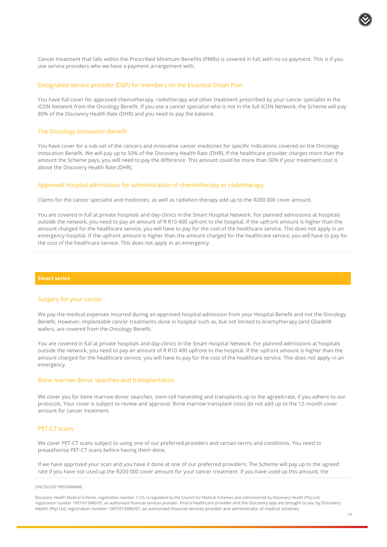

Cancer treatment that falls within the Prescribed Minimum Benefits (PMBs) is covered in full, with no co-payment. This is if you use service providers who we have a payment arrangement with.

#### Designated service provider (DSP) for members on the Essential Smart Plan

You have full cover for approved chemotherapy, radiotherapy and other treatment prescribed by your cancer specialist in the ICON Network from the Oncology Benefit. If you use a cancer specialist who is not in the full ICON Network, the Scheme will pay 80% of the Discovery Health Rate (DHR) and you need to pay the balance.

#### The Oncology Innovation Benefit

You have cover for a sub-set of the cancers and innovative cancer medicines for specific indications covered on the Oncology Innovation Benefit. We will pay up to 50% of the Discovery Health Rate (DHR). If the healthcare provider charges more than the amount the Scheme pays, you will need to pay the difference. This amount could be more than 50% if your treatment cost is above the Discovery Health Rate (DHR).

#### Approved hospital admissions for administration of chemotherapy or radiotherapy

Claims for the cancer specialist and medicines, as well as radiation therapy add up to the R200 000 cover amount.

You are covered in full at private hospitals and day-clinics in the Smart Hospital Network. For planned admissions at hospitals outside the network, you need to pay an amount of R R10 400 upfront to the hospital. If the upfront amount is higher than the amount charged for the healthcare service, you will have to pay for the cost of the healthcare service. This does not apply in an emergency hospital. If the upfront amount is higher than the amount charged for the healthcare service, you will have to pay for the cost of the healthcare service. This does not apply in an emergency.

#### **Smart series**

#### Surgery for your cancer

We pay the medical expenses incurred during an approved hospital admission from your Hospital Benefit and not the Oncology Benefit. However, implantable cancer treatments done in hospital such as, but not limited to brachytherapy (and Gliadel® wafers, are covered from the Oncology Benefit.

You are covered in full at private hospitals and day-clinics in the Smart Hospital Network. For planned admissions at hospitals outside the network, you need to pay an amount of R R10 400 upfront to the hospital. If the upfront amount is higher than the amount charged for the healthcare service, you will have to pay for the cost of the healthcare service. This does not apply in an emergency.

#### Bone marrow donor searches and transplantation

We cover you for bone marrow donor searches, stem cell harvesting and transplants up to the agreed rate, if you adhere to our protocols. Your cover is subject to review and approval. Bone marrow transplant costs do not add up to the 12-month cover amount for cancer treatment.

#### PET-CT scans

We cover PET-CT scans subject to using one of our preferred providers and certain terms and conditions. You need to preauthorise PET-CT scans before having them done.

If we have approved your scan and you have it done at one of our preferred providers: The Scheme will pay up to the agreed rate if you have not used up the R200 000 cover amount for your cancer treatment. If you have used up this amount, the

#### ONCOLOGY PROGRAMME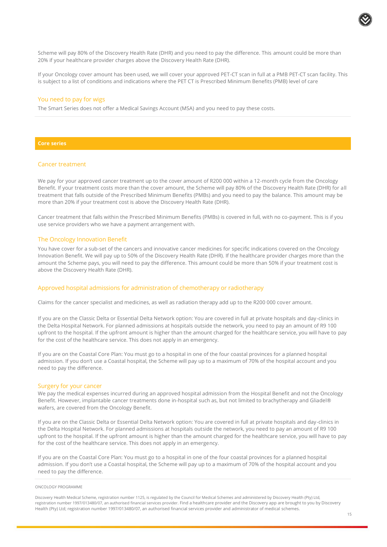Scheme will pay 80% of the Discovery Health Rate (DHR) and you need to pay the difference. This amount could be more than 20% if your healthcare provider charges above the Discovery Health Rate (DHR).

If your Oncology cover amount has been used, we will cover your approved PET-CT scan in full at a PMB PET-CT scan facility. This is subject to a list of conditions and indications where the PET CT is Prescribed Minimum Benefits (PMB) level of care

#### You need to pay for wigs

The Smart Series does not offer a Medical Savings Account (MSA) and you need to pay these costs.

#### **Core series**

#### Cancer treatment

We pay for your approved cancer treatment up to the cover amount of R200 000 within a 12-month cycle from the Oncology Benefit. If your treatment costs more than the cover amount, the Scheme will pay 80% of the Discovery Health Rate (DHR) for all treatment that falls outside of the Prescribed Minimum Benefits (PMBs) and you need to pay the balance. This amount may be more than 20% if your treatment cost is above the Discovery Health Rate (DHR).

Cancer treatment that falls within the Prescribed Minimum Benefits (PMBs) is covered in full, with no co-payment. This is if you use service providers who we have a payment arrangement with.

#### The Oncology Innovation Benefit

You have cover for a sub-set of the cancers and innovative cancer medicines for specific indications covered on the Oncology Innovation Benefit. We will pay up to 50% of the Discovery Health Rate (DHR). If the healthcare provider charges more than the amount the Scheme pays, you will need to pay the difference. This amount could be more than 50% if your treatment cost is above the Discovery Health Rate (DHR).

#### Approved hospital admissions for administration of chemotherapy or radiotherapy

Claims for the cancer specialist and medicines, as well as radiation therapy add up to the R200 000 cover amount.

If you are on the Classic Delta or Essential Delta Network option: You are covered in full at private hospitals and day-clinics in the Delta Hospital Network. For planned admissions at hospitals outside the network, you need to pay an amount of R9 100 upfront to the hospital. If the upfront amount is higher than the amount charged for the healthcare service, you will have to pay for the cost of the healthcare service. This does not apply in an emergency.

If you are on the Coastal Core Plan: You must go to a hospital in one of the four coastal provinces for a planned hospital admission. If you don't use a Coastal hospital, the Scheme will pay up to a maximum of 70% of the hospital account and you need to pay the difference.

#### Surgery for your cancer

We pay the medical expenses incurred during an approved hospital admission from the Hospital Benefit and not the Oncology Benefit. However, implantable cancer treatments done in-hospital such as, but not limited to brachytherapy and Gliadel® wafers, are covered from the Oncology Benefit.

If you are on the Classic Delta or Essential Delta Network option: You are covered in full at private hospitals and day-clinics in the Delta Hospital Network. For planned admissions at hospitals outside the network, you need to pay an amount of R9 100 upfront to the hospital. If the upfront amount is higher than the amount charged for the healthcare service, you will have to pay for the cost of the healthcare service. This does not apply in an emergency.

If you are on the Coastal Core Plan: You must go to a hospital in one of the four coastal provinces for a planned hospital admission. If you don't use a Coastal hospital, the Scheme will pay up to a maximum of 70% of the hospital account and you need to pay the difference.

#### ONCOLOGY PROGRAMME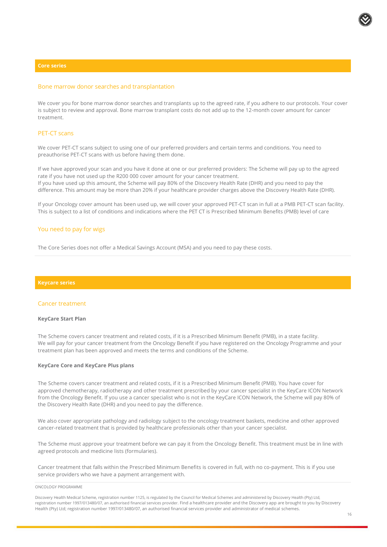#### **Core series**

#### Bone marrow donor searches and transplantation

We cover you for bone marrow donor searches and transplants up to the agreed rate, if you adhere to our protocols. Your cover is subject to review and approval. Bone marrow transplant costs do not add up to the 12-month cover amount for cancer treatment.

#### PET-CT scans

We cover PET-CT scans subject to using one of our preferred providers and certain terms and conditions. You need to preauthorise PET-CT scans with us before having them done.

If we have approved your scan and you have it done at one or our preferred providers: The Scheme will pay up to the agreed rate if you have not used up the R200 000 cover amount for your cancer treatment. If you have used up this amount, the Scheme will pay 80% of the Discovery Health Rate (DHR) and you need to pay the difference. This amount may be more than 20% if your healthcare provider charges above the Discovery Health Rate (DHR).

If your Oncology cover amount has been used up, we will cover your approved PET-CT scan in full at a PMB PET-CT scan facility. This is subject to a list of conditions and indications where the PET CT is Prescribed Minimum Benefits (PMB) level of care

#### You need to pay for wigs

The Core Series does not offer a Medical Savings Account (MSA) and you need to pay these costs.

#### **Keycare series**

#### Cancer treatment

#### **KeyCare Start Plan**

The Scheme covers cancer treatment and related costs, if it is a Prescribed Minimum Benefit (PMB), in a state facility. We will pay for your cancer treatment from the Oncology Benefit if you have registered on the Oncology Programme and your treatment plan has been approved and meets the terms and conditions of the Scheme.

#### **KeyCare Core and KeyCare Plus plans**

The Scheme covers cancer treatment and related costs, if it is a Prescribed Minimum Benefit (PMB). You have cover for approved chemotherapy, radiotherapy and other treatment prescribed by your cancer specialist in the KeyCare ICON Network from the Oncology Benefit. If you use a cancer specialist who is not in the KeyCare ICON Network, the Scheme will pay 80% of the Discovery Health Rate (DHR) and you need to pay the difference.

We also cover appropriate pathology and radiology subject to the oncology treatment baskets, medicine and other approved cancer-related treatment that is provided by healthcare professionals other than your cancer specialist.

The Scheme must approve your treatment before we can pay it from the Oncology Benefit. This treatment must be in line with agreed protocols and medicine lists (formularies).

Cancer treatment that falls within the Prescribed Minimum Benefits is covered in full, with no co-payment. This is if you use service providers who we have a payment arrangement with.

#### ONCOLOGY PROGRAMME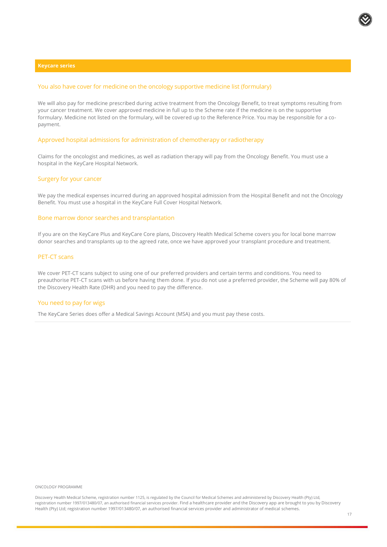#### **Keycare series**

#### You also have cover for medicine on the oncology supportive medicine list (formulary)

We will also pay for medicine prescribed during active treatment from the Oncology Benefit, to treat symptoms resulting from your cancer treatment. We cover approved medicine in full up to the Scheme rate if the medicine is on the supportive formulary. Medicine not listed on the formulary, will be covered up to the Reference Price. You may be responsible for a copayment.

#### Approved hospital admissions for administration of chemotherapy or radiotherapy

Claims for the oncologist and medicines, as well as radiation therapy will pay from the Oncology Benefit. You must use a hospital in the KeyCare Hospital Network.

#### Surgery for your cancer

We pay the medical expenses incurred during an approved hospital admission from the Hospital Benefit and not the Oncology Benefit. You must use a hospital in the KeyCare Full Cover Hospital Network.

#### Bone marrow donor searches and transplantation

If you are on the KeyCare Plus and KeyCare Core plans, Discovery Health Medical Scheme covers you for local bone marrow donor searches and transplants up to the agreed rate, once we have approved your transplant procedure and treatment.

#### PET-CT scans

We cover PET-CT scans subject to using one of our preferred providers and certain terms and conditions. You need to preauthorise PET-CT scans with us before having them done. If you do not use a preferred provider, the Scheme will pay 80% of the Discovery Health Rate (DHR) and you need to pay the difference.

#### You need to pay for wigs

The KeyCare Series does offer a Medical Savings Account (MSA) and you must pay these costs.

ONCOLOGY PROGRAMME